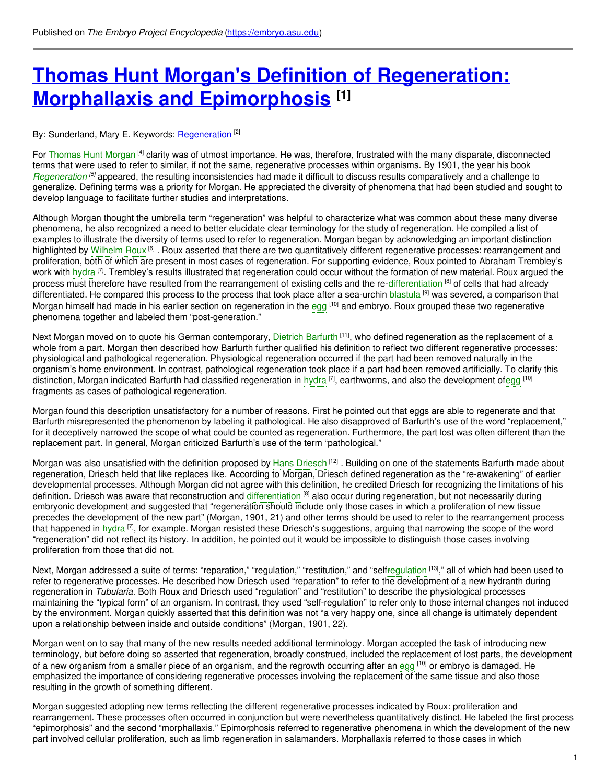# **Thomas Hunt Morgan's Definition of [Regeneration:](https://embryo.asu.edu/pages/thomas-hunt-morgans-definition-regeneration-morphallaxis-and-epimorphosis) Morphallaxis and Epimorphosis [1]**

### By: Sunderland, Mary E. Keywords: <u>[Regeneration](https://embryo.asu.edu/keywords/regeneration)</u> <sup>[2]</sup>

For [Thomas](https://embryo.asu.edu/search?text=Thomas%20Hunt%20Morgan) Hunt Morgan <sup>[4]</sup> clarity was of utmost importance. He was, therefore, frustrated with the many disparate, disconnected terms that were used to refer to similar, if not the same, regenerative processes within organisms. By 1901, the year his book *[Regeneration](https://embryo.asu.edu/search?text=Regeneration)* <sup>[5]</sup> appeared, the resulting inconsistencies had made it difficult to discuss results comparatively and a challenge to generalize. Defining terms was a priority for Morgan. He appreciated the diversity of phenomena that had been studied and sought to develop language to facilitate further studies and interpretations.

Although Morgan thought the umbrella term "regeneration" was helpful to characterize what was common about these many diverse phenomena, he also recognized a need to better elucidate clear terminology for the study of regeneration. He compiled a list of examples to illustrate the diversity of terms used to refer to regeneration. Morgan began by acknowledging an important distinction highlighted by [Wilhelm](https://embryo.asu.edu/search?text=Wilhelm%20Roux) Roux <sup>[6]</sup> . Roux asserted that there are two quantitatively different regenerative processes: rearrangement and proliferation, both of which are present in most cases of regeneration. For supporting evidence, Roux pointed to Abraham Trembley's work with [hydra](https://embryo.asu.edu/search?text=hydra) <sup>[7]</sup>. Trembley's results illustrated that regeneration could occur without the formation of new material. Roux argued the process must therefore have resulted from the rearrangement of existing cells and the re[-differentiation](https://embryo.asu.edu/search?text=differentiation) <sup>[8]</sup> of cells that had already differentiated. He compared this process to the process that took place after a sea-urchin <mark>[blastula](https://embryo.asu.edu/search?text=blastula) <sup>[9]</sup> was severed, a comparison that</mark> Morgan himself had made in his earlier section on regeneration in the [egg](https://embryo.asu.edu/search?text=egg) <sup>[10]</sup> and embryo. Roux grouped these two regenerative phenomena together and labeled them "post-generation."

Next Morgan moved on to quote his German contemporary, [Dietrich](https://embryo.asu.edu/search?text=Dietrich%20Barfurth) Barfurth <sup>[11]</sup>, who defined regeneration as the replacement of a whole from a part. Morgan then described how Barfurth further qualified his definition to reflect two different regenerative processes: physiological and pathological regeneration. Physiological regeneration occurred if the part had been removed naturally in the organism's home environment. In contrast, pathological regeneration took place if a part had been removed artificially. To clarify this distinction, Morgan indicated Barfurth had classified regeneration in [hydra](https://embryo.asu.edu/search?text=hydra) <sup>[7]</sup>, earthworms, and also the development of[egg](https://embryo.asu.edu/search?text=egg) <sup>[10]</sup> fragments as cases of pathological regeneration.

Morgan found this description unsatisfactory for a number of reasons. First he pointed out that eggs are able to regenerate and that Barfurth misrepresented the phenomenon by labeling it pathological. He also disapproved of Barfurth's use of the word "replacement," for it deceptively narrowed the scope of what could be counted as regeneration. Furthermore, the part lost was often different than the replacement part. In general, Morgan criticized Barfurth's use of the term "pathological."

Morgan was also unsatisfied with the definition proposed by Hans [Driesch](https://embryo.asu.edu/search?text=Hans%20Driesch)<sup>[12]</sup> . Building on one of the statements Barfurth made about regeneration, Driesch held that like replaces like. According to Morgan, Driesch defined regeneration as the "re-awakening" of earlier developmental processes. Although Morgan did not agree with this definition, he credited Driesch for recognizing the limitations of his definition. Driesch was aware that reconstruction and [differentiation](https://embryo.asu.edu/search?text=differentiation) <sup>[8]</sup> also occur during regeneration, but not necessarily during embryonic development and suggested that "regeneration should include only those cases in which a proliferation of new tissue precedes the development of the new part" (Morgan, 1901, 21) and other terms should be used to refer to the rearrangement process that happened in [hydra](https://embryo.asu.edu/search?text=hydra) <sup>[7]</sup>, for example. Morgan resisted these Driesch's suggestions, arguing that narrowing the scope of the word "regeneration" did not reflect its history. In addition, he pointed out it would be impossible to distinguish those cases involving proliferation from those that did not.

Next, Morgan addressed a suite of terms: "reparation," "regulation," "restitution," and "self<mark>regulation [13]," all of which had been used to</mark> refer to regenerative processes. He described how Driesch used "reparation" to refer to the development of a new hydranth during regeneration in *Tubularia*. Both Roux and Driesch used "regulation" and "restitution" to describe the physiological processes maintaining the "typical form" of an organism. In contrast, they used "self-regulation" to refer only to those internal changes not induced by the environment. Morgan quickly asserted that this definition was not "a very happy one, since all change is ultimately dependent upon a relationship between inside and outside conditions" (Morgan, 1901, 22).

Morgan went on to say that many of the new results needed additional terminology. Morgan accepted the task of introducing new terminology, but before doing so asserted that regeneration, broadly construed, included the replacement of lost parts, the development of a new organism from a smaller piece of an organism, and the regrowth occurring after an <mark>[egg](https://embryo.asu.edu/search?text=egg) <sup>[10]</sup> or embryo is damaged. He</mark> emphasized the importance of considering regenerative processes involving the replacement of the same tissue and also those resulting in the growth of something different.

Morgan suggested adopting new terms reflecting the different regenerative processes indicated by Roux: proliferation and rearrangement. These processes often occurred in conjunction but were nevertheless quantitatively distinct. He labeled the first process "epimorphosis" and the second "morphallaxis." Epimorphosis referred to regenerative phenomena in which the development of the new part involved cellular proliferation, such as limb regeneration in salamanders. Morphallaxis referred to those cases in which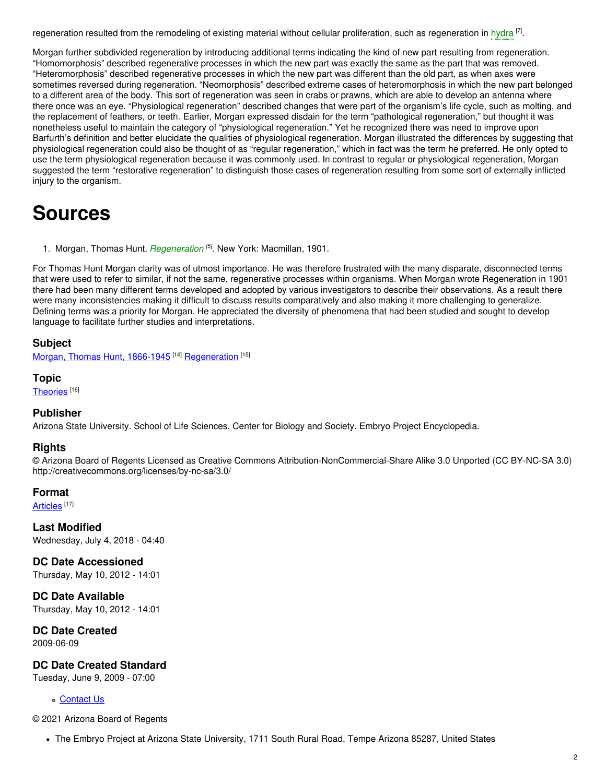regeneration resulted from the remodeling of existing material without cellular proliferation, such as regeneration in [hydra](https://embryo.asu.edu/search?text=hydra) <sup>[7]</sup>.

Morgan further subdivided regeneration by introducing additional terms indicating the kind of new part resulting from regeneration. "Homomorphosis" described regenerative processes in which the new part was exactly the same as the part that was removed. "Heteromorphosis" described regenerative processes in which the new part was different than the old part, as when axes were sometimes reversed during regeneration. "Neomorphosis" described extreme cases of heteromorphosis in which the new part belonged to a different area of the body. This sort of regeneration was seen in crabs or prawns, which are able to develop an antenna where there once was an eye. "Physiological regeneration" described changes that were part of the organism's life cycle, such as molting, and the replacement of feathers, or teeth. Earlier, Morgan expressed disdain for the term "pathological regeneration," but thought it was nonetheless useful to maintain the category of "physiological regeneration." Yet he recognized there was need to improve upon Barfurth's definition and better elucidate the qualities of physiological regeneration. Morgan illustrated the differences by suggesting that physiological regeneration could also be thought of as "regular regeneration," which in fact was the term he preferred. He only opted to use the term physiological regeneration because it was commonly used. In contrast to regular or physiological regeneration, Morgan suggested the term "restorative regeneration" to distinguish those cases of regeneration resulting from some sort of externally inflicted injury to the organism.

# **Sources**

1. Morgan, Thomas Hunt. *[Regeneration](https://embryo.asu.edu/search?text=Regeneration) [5]* . New York: Macmillan, 1901.

For Thomas Hunt Morgan clarity was of utmost importance. He was therefore frustrated with the many disparate, disconnected terms that were used to refer to similar, if not the same, regenerative processes within organisms. When Morgan wrote Regeneration in 1901 there had been many different terms developed and adopted by various investigators to describe their observations. As a result there were many inconsistencies making it difficult to discuss results comparatively and also making it more challenging to generalize. Defining terms was a priority for Morgan. He appreciated the diversity of phenomena that had been studied and sought to develop language to facilitate further studies and interpretations.

### **Subject**

Morgan, Thomas Hunt, [1866-1945](https://embryo.asu.edu/library-congress-subject-headings/morgan-thomas-hunt-1866-1945)<sup>[14]</sup> [Regeneration](https://embryo.asu.edu/medical-subject-headings/regeneration)<sup>[15]</sup>

#### **Topic**

[Theories](https://embryo.asu.edu/topics/theories) [16]

### **Publisher**

Arizona State University. School of Life Sciences. Center for Biology and Society. Embryo Project Encyclopedia.

### **Rights**

© Arizona Board of Regents Licensed as Creative Commons Attribution-NonCommercial-Share Alike 3.0 Unported (CC BY-NC-SA 3.0) http://creativecommons.org/licenses/by-nc-sa/3.0/

### **Format**

<u>[Articles](https://embryo.asu.edu/formats/articles)</u> [17]

**Last Modified** Wednesday, July 4, 2018 - 04:40

**DC Date Accessioned** Thursday, May 10, 2012 - 14:01

**DC Date Available** Thursday, May 10, 2012 - 14:01

**DC Date Created** 2009-06-09

**DC Date Created Standard**

Tuesday, June 9, 2009 - 07:00

### [Contact](https://embryo.asu.edu/contact) Us

© 2021 Arizona Board of Regents

The Embryo Project at Arizona State University, 1711 South Rural Road, Tempe Arizona 85287, United States